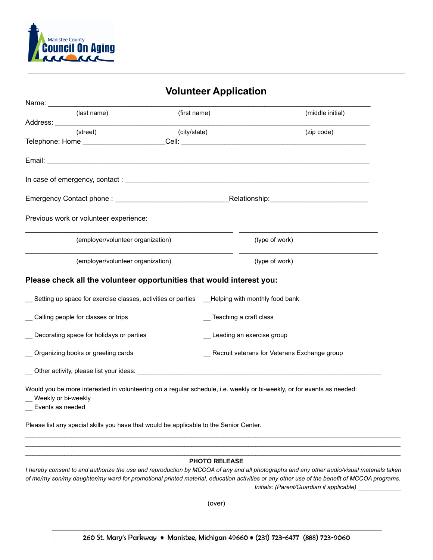

|                                                                 |                                                                                                                                                                                                                                | <b>Volunteer Application</b> |                                                                                                                        |  |
|-----------------------------------------------------------------|--------------------------------------------------------------------------------------------------------------------------------------------------------------------------------------------------------------------------------|------------------------------|------------------------------------------------------------------------------------------------------------------------|--|
|                                                                 |                                                                                                                                                                                                                                |                              |                                                                                                                        |  |
| (last name)                                                     | (first name)                                                                                                                                                                                                                   |                              | (middle initial)                                                                                                       |  |
|                                                                 |                                                                                                                                                                                                                                |                              |                                                                                                                        |  |
| (street)                                                        | (city/state)                                                                                                                                                                                                                   |                              | (zip code)                                                                                                             |  |
|                                                                 |                                                                                                                                                                                                                                |                              |                                                                                                                        |  |
|                                                                 |                                                                                                                                                                                                                                |                              |                                                                                                                        |  |
|                                                                 |                                                                                                                                                                                                                                |                              |                                                                                                                        |  |
|                                                                 |                                                                                                                                                                                                                                |                              |                                                                                                                        |  |
| Previous work or volunteer experience:                          |                                                                                                                                                                                                                                |                              |                                                                                                                        |  |
|                                                                 | (employer/volunteer organization)                                                                                                                                                                                              |                              | (type of work)                                                                                                         |  |
|                                                                 | (employer/volunteer organization)                                                                                                                                                                                              |                              | the control of the control of the control of the control of the control of the control of<br>(type of work)            |  |
|                                                                 | Please check all the volunteer opportunities that would interest you:                                                                                                                                                          |                              |                                                                                                                        |  |
|                                                                 | Setting up space for exercise classes, activities or parties __Helping with monthly food bank                                                                                                                                  |                              |                                                                                                                        |  |
| Calling people for classes or trips<br>_ Teaching a craft class |                                                                                                                                                                                                                                |                              |                                                                                                                        |  |
| Decorating space for holidays or parties                        |                                                                                                                                                                                                                                | _ Leading an exercise group  |                                                                                                                        |  |
| Organizing books or greeting cards                              |                                                                                                                                                                                                                                |                              | Recruit veterans for Veterans Exchange group                                                                           |  |
|                                                                 | Other activity, please list your ideas: Letter and the state of the state of the state of the state of the state of the state of the state of the state of the state of the state of the state of the state of the state of th |                              |                                                                                                                        |  |
| Weekly or bi-weekly<br>Events as needed                         |                                                                                                                                                                                                                                |                              | Would you be more interested in volunteering on a regular schedule, i.e. weekly or bi-weekly, or for events as needed: |  |

Please list any special skills you have that would be applicable to the Senior Center.

#### \_\_\_\_\_\_\_\_\_\_\_\_\_\_\_\_\_\_\_\_\_\_\_\_\_\_\_\_\_\_\_\_\_\_\_\_\_\_\_\_\_\_\_\_\_\_\_\_\_\_\_\_\_\_\_\_\_\_\_\_\_\_\_\_\_\_\_\_\_\_\_\_\_\_\_\_\_\_\_\_\_\_\_\_\_\_\_\_\_\_\_\_\_\_\_\_\_\_\_\_\_\_\_\_\_\_ **PHOTO RELEASE**

\_\_\_\_\_\_\_\_\_\_\_\_\_\_\_\_\_\_\_\_\_\_\_\_\_\_\_\_\_\_\_\_\_\_\_\_\_\_\_\_\_\_\_\_\_\_\_\_\_\_\_\_\_\_\_\_\_\_\_\_\_\_\_\_\_\_\_\_\_\_\_\_\_\_\_\_\_\_\_\_\_\_\_\_\_\_\_\_\_\_\_\_\_\_\_\_\_\_\_\_\_\_\_\_\_\_ \_\_\_\_\_\_\_\_\_\_\_\_\_\_\_\_\_\_\_\_\_\_\_\_\_\_\_\_\_\_\_\_\_\_\_\_\_\_\_\_\_\_\_\_\_\_\_\_\_\_\_\_\_\_\_\_\_\_\_\_\_\_\_\_\_\_\_\_\_\_\_\_\_\_\_\_\_\_\_\_\_\_\_\_\_\_\_\_\_\_\_\_\_\_\_\_\_\_\_\_\_\_\_\_\_\_

I hereby consent to and authorize the use and reproduction by MCCOA of any and all photographs and any other audio/visual materials taken of me/my son/my daughter/my ward for promotional printed material, education activities or any other use of the benefit of MCCOA programs. *Initials: (Parent/Guardian if applicable) \_\_\_\_\_\_\_\_\_\_\_\_\_*

(over)